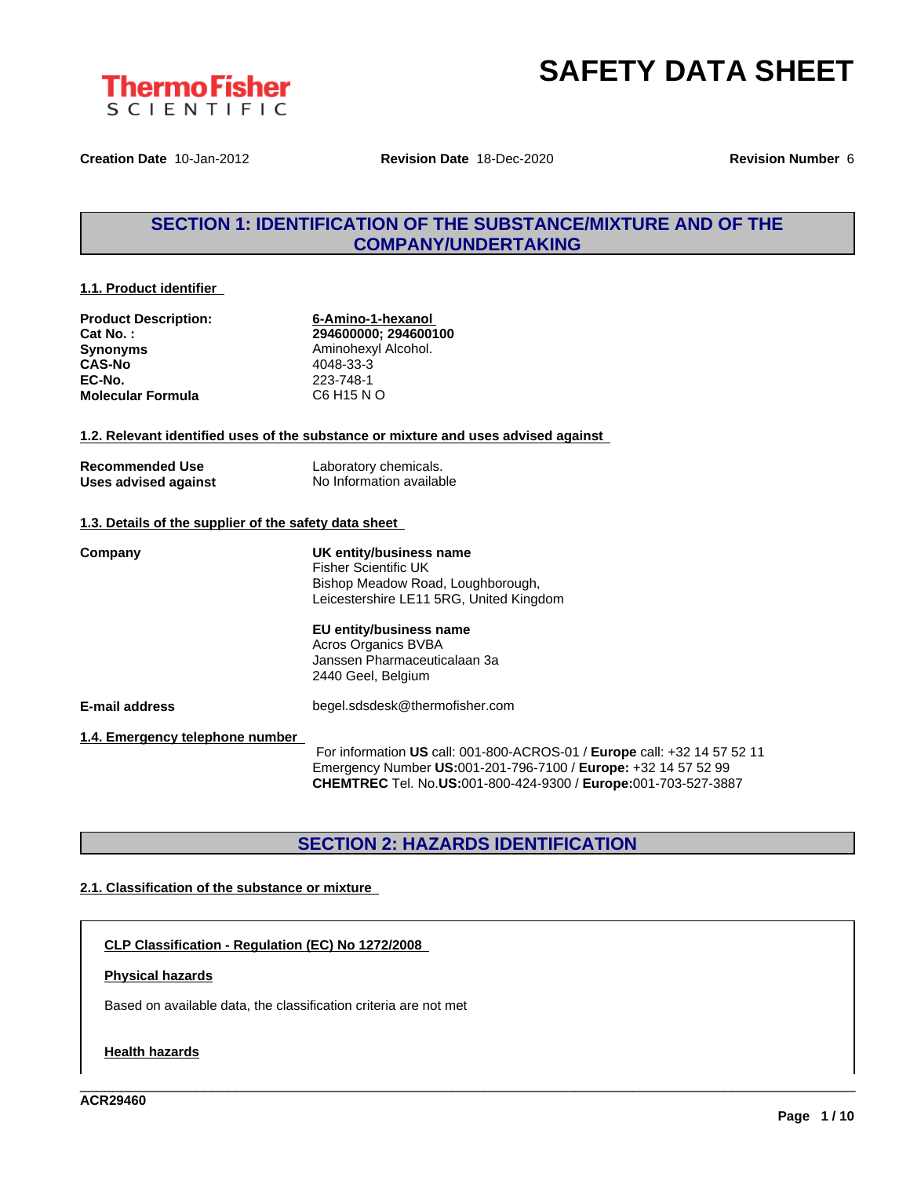



**Creation Date** 10-Jan-2012 **Revision Date** 18-Dec-2020 **Revision Number** 6

# **SECTION 1: IDENTIFICATION OF THE SUBSTANCE/MIXTURE AND OF THE COMPANY/UNDERTAKING**

#### **1.1. Product identifier**

| <b>Product Description:</b> |
|-----------------------------|
| Cat No.:                    |
| <b>Synonyms</b>             |
| <b>CAS-No</b>               |
| EC-No.                      |
| <b>Molecular Formula</b>    |

**Product Description: 6-Amino-1-hexanol Cat No. : 294600000; 294600100 Aminohexyl Alcohol. CAS-No** 4048-33-3 **EC-No.** 223-748-1 **Molecular Formula** C6 H15 N O

#### **1.2. Relevant identified uses of the substance or mixture and uses advised against**

| <b>Recommended Use</b> | Laboratory chemicals.    |
|------------------------|--------------------------|
| Uses advised against   | No Information available |

#### **1.3. Details of the supplier of the safety data sheet**

**Company UK entity/business name** Fisher Scientific UK Bishop Meadow Road, Loughborough, Leicestershire LE11 5RG, United Kingdom **EU entity/business name** Acros Organics BVBA Janssen Pharmaceuticalaan 3a 2440 Geel, Belgium

**E-mail address** begel.sdsdesk@thermofisher.com

**1.4. Emergency telephone number**

For information **US** call: 001-800-ACROS-01 / **Europe** call: +32 14 57 52 11 Emergency Number **US:**001-201-796-7100 / **Europe:** +32 14 57 52 99 **CHEMTREC** Tel. No.**US:**001-800-424-9300 / **Europe:**001-703-527-3887

\_\_\_\_\_\_\_\_\_\_\_\_\_\_\_\_\_\_\_\_\_\_\_\_\_\_\_\_\_\_\_\_\_\_\_\_\_\_\_\_\_\_\_\_\_\_\_\_\_\_\_\_\_\_\_\_\_\_\_\_\_\_\_\_\_\_\_\_\_\_\_\_\_\_\_\_\_\_\_\_\_\_\_\_\_\_\_\_\_\_\_\_\_\_

### **SECTION 2: HAZARDS IDENTIFICATION**

#### **2.1. Classification of the substance or mixture**

**CLP Classification - Regulation (EC) No 1272/2008**

#### **Physical hazards**

Based on available data, the classification criteria are not met

#### **Health hazards**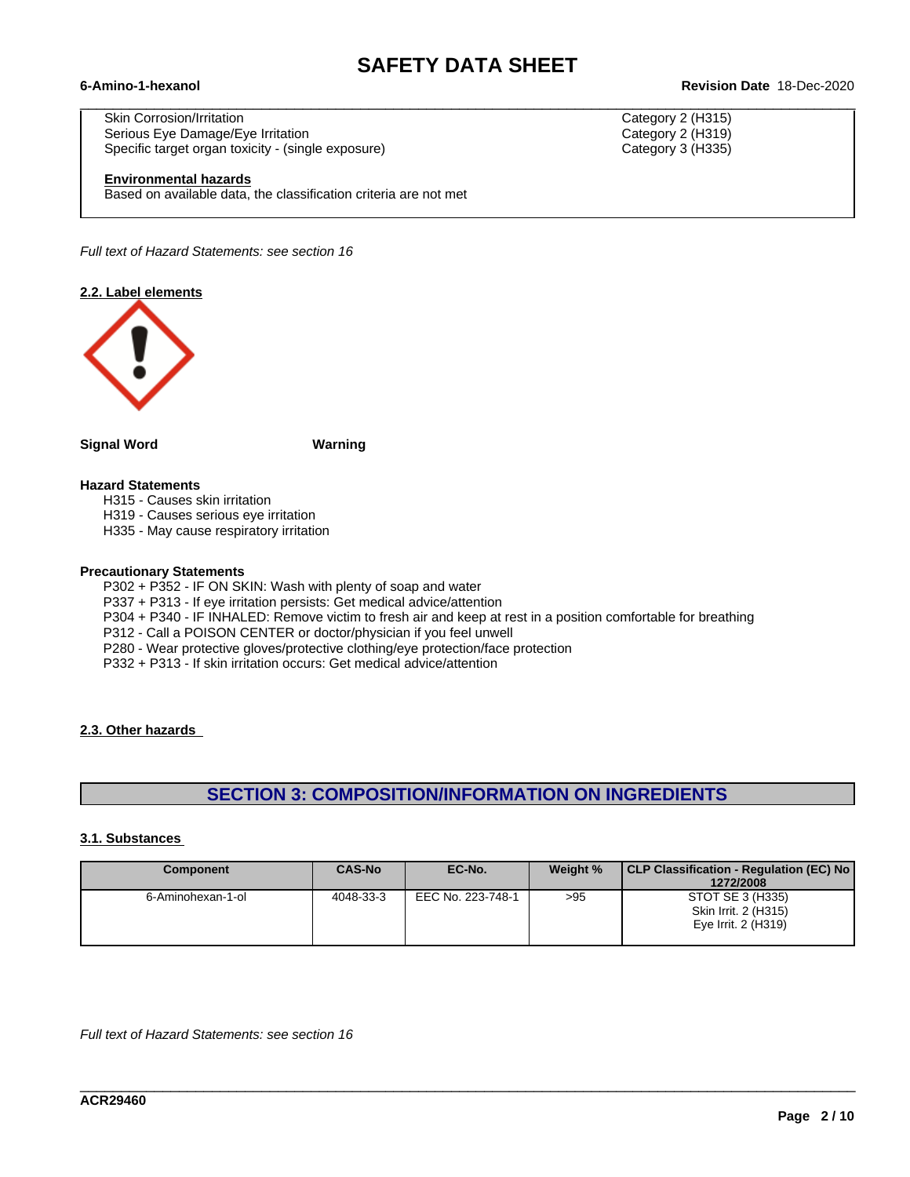$\_$  ,  $\_$  ,  $\_$  ,  $\_$  ,  $\_$  ,  $\_$  ,  $\_$  ,  $\_$  ,  $\_$  ,  $\_$  ,  $\_$  ,  $\_$  ,  $\_$  ,  $\_$  ,  $\_$  ,  $\_$  ,  $\_$  ,  $\_$  ,  $\_$  ,  $\_$  ,  $\_$  ,  $\_$  ,  $\_$  ,  $\_$  ,  $\_$  ,  $\_$  ,  $\_$  ,  $\_$  ,  $\_$  ,  $\_$  ,  $\_$  ,  $\_$  ,  $\_$  ,  $\_$  ,  $\_$  ,  $\_$  ,  $\_$  ,

#### **6-Amino-1-hexanol Revision Date** 18-Dec-2020

Skin Corrosion/Irritation Category 2 (H315) Serious Eye Damage/Eye Irritation **Category 2 (H319)** Category 2 (H319) Specific target organ toxicity - (single exposure) Category 3 (H335)

#### **Environmental hazards**

Based on available data, the classification criteria are not met

*Full text of Hazard Statements: see section 16*

#### **2.2. Label elements**



**Signal Word Warning**

### **Hazard Statements**

- H315 Causes skin irritation
- H319 Causes serious eye irritation
- H335 May cause respiratory irritation

#### **Precautionary Statements**

P302 + P352 - IF ON SKIN: Wash with plenty of soap and water

P337 + P313 - If eye irritation persists: Get medical advice/attention

- P304 + P340 IF INHALED: Remove victim to fresh air and keep at rest in a position comfortable for breathing
- P312 Call a POISON CENTER or doctor/physician if you feel unwell

P280 - Wear protective gloves/protective clothing/eye protection/face protection

P332 + P313 - If skin irritation occurs: Get medical advice/attention

#### **2.3. Other hazards**

# **SECTION 3: COMPOSITION/INFORMATION ON INGREDIENTS**

#### **3.1. Substances**

| <b>Component</b>  | <b>CAS-No</b> | EC-No.            | Weight % | CLP Classification - Regulation (EC) No<br>1272/2008            |
|-------------------|---------------|-------------------|----------|-----------------------------------------------------------------|
| 6-Aminohexan-1-ol | 4048-33-3     | EEC No. 223-748-1 | >95      | STOT SE 3 (H335)<br>Skin Irrit. 2 (H315)<br>Eye Irrit. 2 (H319) |

\_\_\_\_\_\_\_\_\_\_\_\_\_\_\_\_\_\_\_\_\_\_\_\_\_\_\_\_\_\_\_\_\_\_\_\_\_\_\_\_\_\_\_\_\_\_\_\_\_\_\_\_\_\_\_\_\_\_\_\_\_\_\_\_\_\_\_\_\_\_\_\_\_\_\_\_\_\_\_\_\_\_\_\_\_\_\_\_\_\_\_\_\_\_

*Full text of Hazard Statements: see section 16*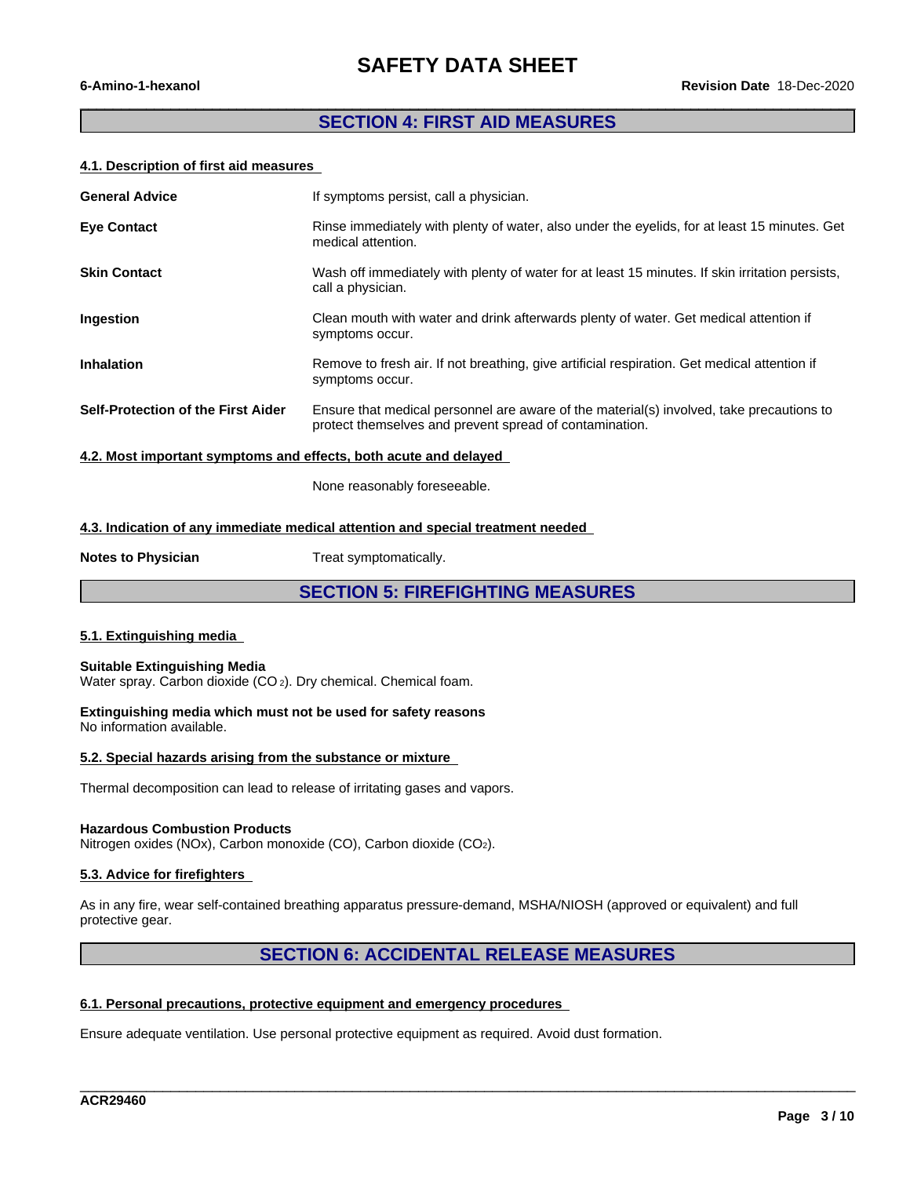### **SECTION 4: FIRST AID MEASURES**

 $\overline{\phantom{a}}$  , and the contribution of the contribution of the contribution of the contribution of the contribution of the contribution of the contribution of the contribution of the contribution of the contribution of the

#### **4.1. Description of first aid measures**

| <b>General Advice</b>                                                 | If symptoms persist, call a physician.                                                                                                              |  |  |
|-----------------------------------------------------------------------|-----------------------------------------------------------------------------------------------------------------------------------------------------|--|--|
| <b>Eye Contact</b>                                                    | Rinse immediately with plenty of water, also under the eyelids, for at least 15 minutes. Get<br>medical attention.                                  |  |  |
| <b>Skin Contact</b>                                                   | Wash off immediately with plenty of water for at least 15 minutes. If skin irritation persists,<br>call a physician.                                |  |  |
| <b>Ingestion</b>                                                      | Clean mouth with water and drink afterwards plenty of water. Get medical attention if<br>symptoms occur.                                            |  |  |
| <b>Inhalation</b>                                                     | Remove to fresh air. If not breathing, give artificial respiration. Get medical attention if<br>symptoms occur.                                     |  |  |
| <b>Self-Protection of the First Aider</b>                             | Ensure that medical personnel are aware of the material(s) involved, take precautions to<br>protect themselves and prevent spread of contamination. |  |  |
| 10 Meethod at the communication of all also bell except and delegated |                                                                                                                                                     |  |  |

**4.2. Most important symptoms and effects, both acute and delayed**

None reasonably foreseeable.

### **4.3. Indication of any immediate medical attention and special treatment needed**

**Notes to Physician** Treat symptomatically.

**SECTION 5: FIREFIGHTING MEASURES**

### **5.1. Extinguishing media**

#### **Suitable Extinguishing Media** Water spray. Carbon dioxide (CO<sub>2</sub>). Dry chemical. Chemical foam.

**Extinguishing media which must not be used for safety reasons**

No information available.

#### **5.2. Special hazards arising from the substance or mixture**

Thermal decomposition can lead to release of irritating gases and vapors.

#### **Hazardous Combustion Products**

Nitrogen oxides (NOx), Carbon monoxide (CO), Carbon dioxide (CO2).

### **5.3. Advice for firefighters**

As in any fire, wear self-contained breathing apparatus pressure-demand, MSHA/NIOSH (approved or equivalent) and full protective gear.

### **SECTION 6: ACCIDENTAL RELEASE MEASURES**

\_\_\_\_\_\_\_\_\_\_\_\_\_\_\_\_\_\_\_\_\_\_\_\_\_\_\_\_\_\_\_\_\_\_\_\_\_\_\_\_\_\_\_\_\_\_\_\_\_\_\_\_\_\_\_\_\_\_\_\_\_\_\_\_\_\_\_\_\_\_\_\_\_\_\_\_\_\_\_\_\_\_\_\_\_\_\_\_\_\_\_\_\_\_

### **6.1. Personal precautions, protective equipment and emergency procedures**

Ensure adequate ventilation. Use personal protective equipment as required. Avoid dust formation.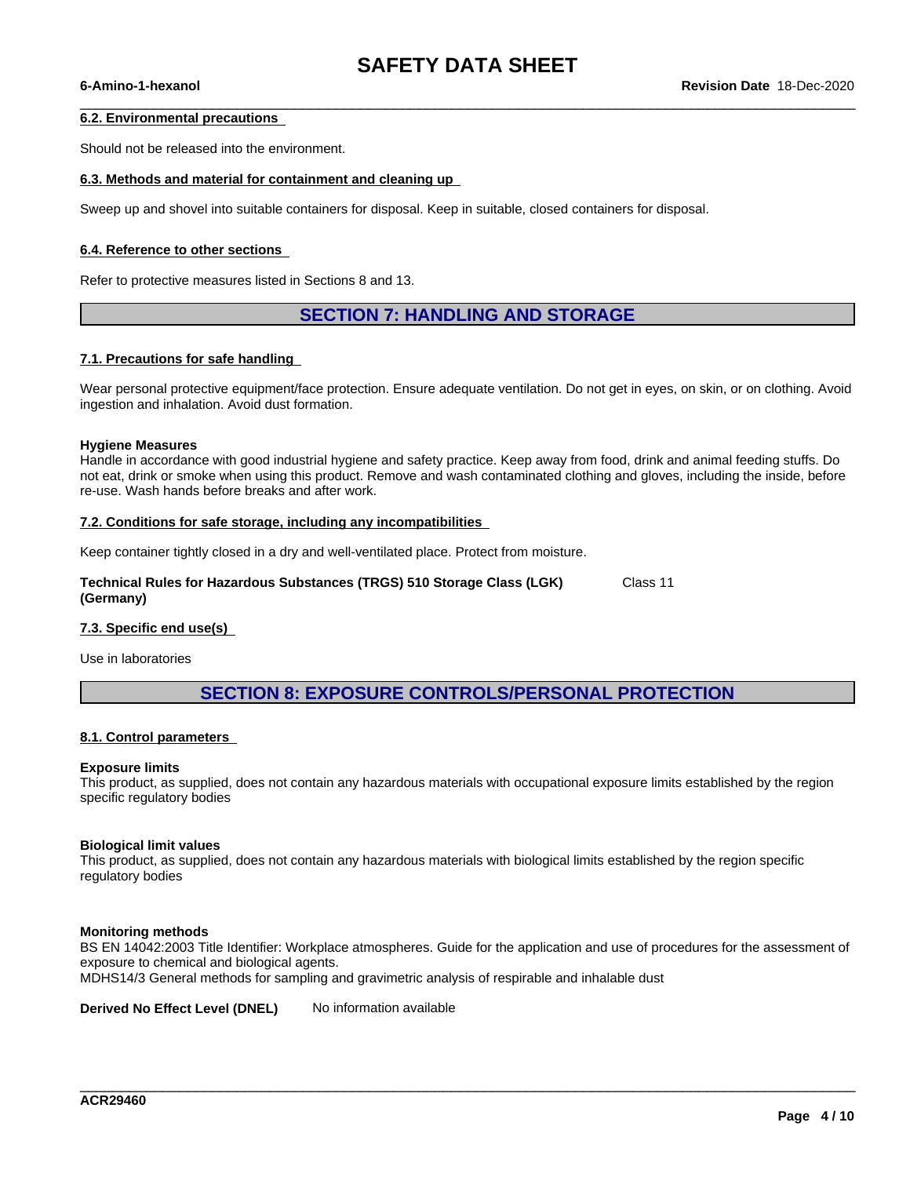$\_$  ,  $\_$  ,  $\_$  ,  $\_$  ,  $\_$  ,  $\_$  ,  $\_$  ,  $\_$  ,  $\_$  ,  $\_$  ,  $\_$  ,  $\_$  ,  $\_$  ,  $\_$  ,  $\_$  ,  $\_$  ,  $\_$  ,  $\_$  ,  $\_$  ,  $\_$  ,  $\_$  ,  $\_$  ,  $\_$  ,  $\_$  ,  $\_$  ,  $\_$  ,  $\_$  ,  $\_$  ,  $\_$  ,  $\_$  ,  $\_$  ,  $\_$  ,  $\_$  ,  $\_$  ,  $\_$  ,  $\_$  ,  $\_$  ,

#### **6.2. Environmental precautions**

Should not be released into the environment.

### **6.3. Methods and material for containment and cleaning up**

Sweep up and shovel into suitable containers for disposal. Keep in suitable, closed containers for disposal.

#### **6.4. Reference to other sections**

Refer to protective measures listed in Sections 8 and 13.

### **SECTION 7: HANDLING AND STORAGE**

#### **7.1. Precautions for safe handling**

Wear personal protective equipment/face protection. Ensure adequate ventilation. Do not get in eyes, on skin, or on clothing. Avoid ingestion and inhalation. Avoid dust formation.

#### **Hygiene Measures**

Handle in accordance with good industrial hygiene and safety practice. Keep away from food, drink and animal feeding stuffs. Do not eat, drink or smoke when using this product. Remove and wash contaminated clothing and gloves, including the inside, before re-use. Wash hands before breaks and after work.

#### **7.2. Conditions for safe storage, including any incompatibilities**

Keep container tightly closed in a dry and well-ventilated place. Protect from moisture.

**Technical Rules for Hazardous Substances (TRGS) 510 Storage Class (LGK) (Germany)** Class 11

#### **7.3. Specific end use(s)**

Use in laboratories

## **SECTION 8: EXPOSURE CONTROLS/PERSONAL PROTECTION**

#### **8.1. Control parameters**

#### **Exposure limits**

This product, as supplied, does not contain any hazardous materials with occupational exposure limits established by the region specific regulatory bodies

#### **Biological limit values**

This product, as supplied, does not contain any hazardous materials with biological limits established by the region specific regulatory bodies

#### **Monitoring methods**

BS EN 14042:2003 Title Identifier: Workplace atmospheres. Guide for the application and use of procedures for the assessment of exposure to chemical and biological agents.

\_\_\_\_\_\_\_\_\_\_\_\_\_\_\_\_\_\_\_\_\_\_\_\_\_\_\_\_\_\_\_\_\_\_\_\_\_\_\_\_\_\_\_\_\_\_\_\_\_\_\_\_\_\_\_\_\_\_\_\_\_\_\_\_\_\_\_\_\_\_\_\_\_\_\_\_\_\_\_\_\_\_\_\_\_\_\_\_\_\_\_\_\_\_

MDHS14/3 General methods for sampling and gravimetric analysis of respirable and inhalable dust

**Derived No Effect Level (DNEL)** No information available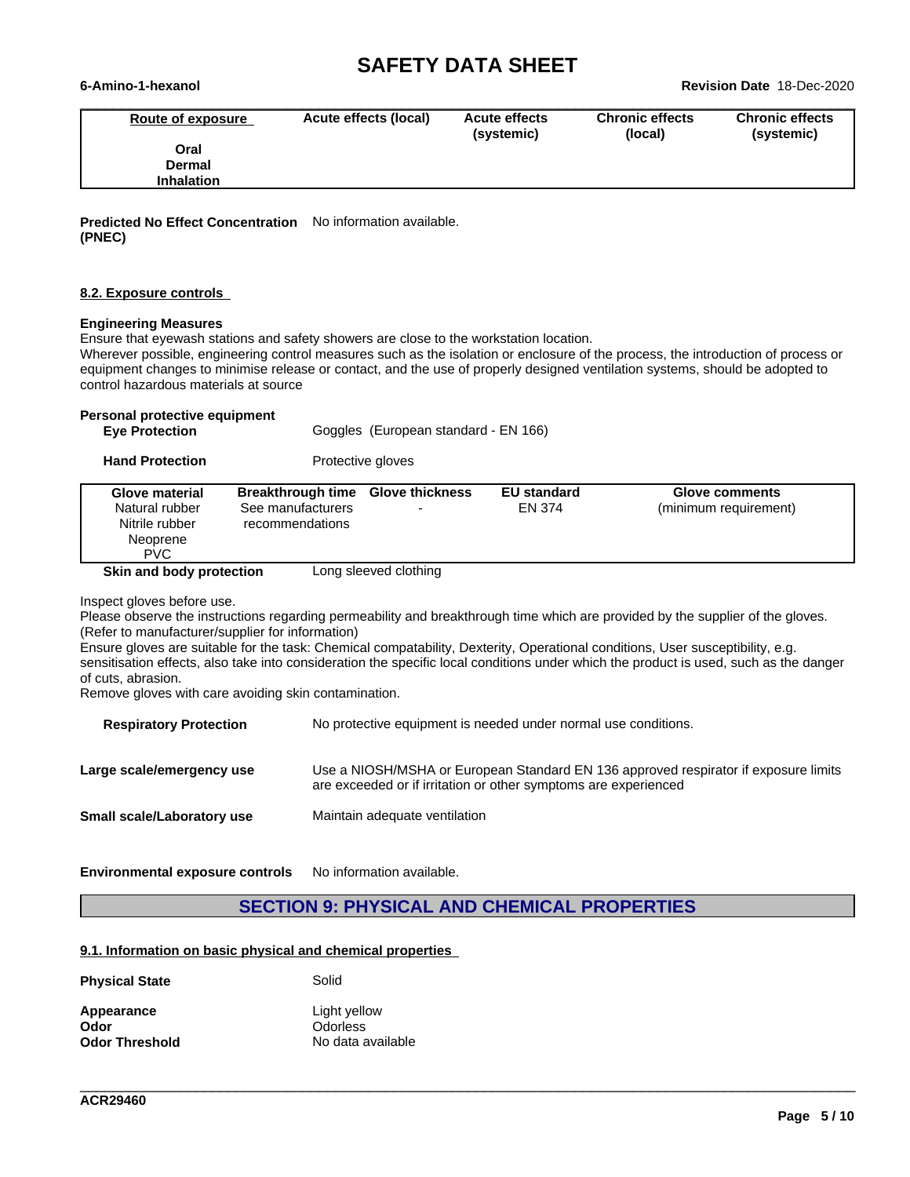**6-Amino-1-hexanol Revision Date** 18-Dec-2020

| Route of exposure | Acute effects (local) | <b>Acute effects</b><br>(systemic) | <b>Chronic effects</b><br>(local) | <b>Chronic effects</b><br>(systemic) |
|-------------------|-----------------------|------------------------------------|-----------------------------------|--------------------------------------|
| Oral              |                       |                                    |                                   |                                      |
| <b>Dermal</b>     |                       |                                    |                                   |                                      |
| <b>Inhalation</b> |                       |                                    |                                   |                                      |

**Predicted No Effect Concentration** No information available. **(PNEC)**

#### **8.2. Exposure controls**

#### **Engineering Measures**

Ensure that eyewash stations and safety showers are close to the workstation location.

Wherever possible, engineering control measures such as the isolation or enclosure of the process, the introduction of process or equipment changes to minimise release or contact, and the use of properly designed ventilation systems, should be adopted to control hazardous materials at source

### **Personal protective equipment**

| <b>Eve Protection</b> |  |
|-----------------------|--|
|-----------------------|--|

Goggles (European standard - EN 166)

**Hand Protection** Protective gloves

|--|

Inspect gloves before use.

Please observe the instructions regarding permeability and breakthrough time which are provided by the supplier of the gloves. (Refer to manufacturer/supplier for information)

Ensure gloves are suitable for the task: Chemical compatability, Dexterity, Operational conditions, User susceptibility, e.g. sensitisation effects, also take into consideration the specific local conditions under which the product is used, such as the danger of cuts, abrasion.

Remove gloves with care avoiding skin contamination.

| <b>Respiratory Protection</b> | No protective equipment is needed under normal use conditions.                                                                                         |
|-------------------------------|--------------------------------------------------------------------------------------------------------------------------------------------------------|
| Large scale/emergency use     | Use a NIOSH/MSHA or European Standard EN 136 approved respirator if exposure limits<br>are exceeded or if irritation or other symptoms are experienced |
| Small scale/Laboratory use    | Maintain adequate ventilation                                                                                                                          |

**Environmental exposure controls** No information available.

### **SECTION 9: PHYSICAL AND CHEMICAL PROPERTIES**

\_\_\_\_\_\_\_\_\_\_\_\_\_\_\_\_\_\_\_\_\_\_\_\_\_\_\_\_\_\_\_\_\_\_\_\_\_\_\_\_\_\_\_\_\_\_\_\_\_\_\_\_\_\_\_\_\_\_\_\_\_\_\_\_\_\_\_\_\_\_\_\_\_\_\_\_\_\_\_\_\_\_\_\_\_\_\_\_\_\_\_\_\_\_

#### **9.1. Information on basic physical and chemical properties**

| <b>Physical State</b> | Solid             |
|-----------------------|-------------------|
| Appearance            | Light yellow      |
| Odor                  | <b>Odorless</b>   |
| <b>Odor Threshold</b> | No data available |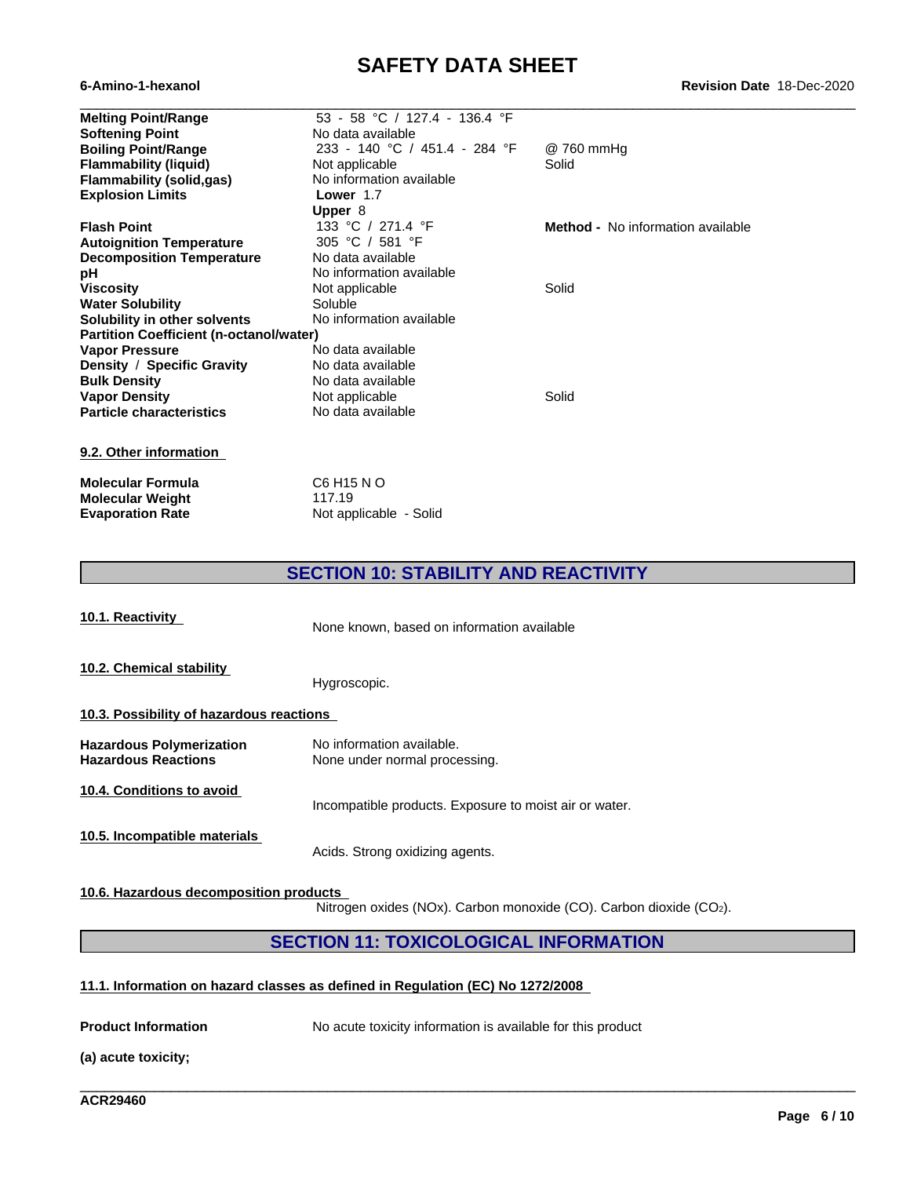| <b>Melting Point/Range</b>                     | 53 - 58 °C / 127.4 - 136.4 °F |                                          |
|------------------------------------------------|-------------------------------|------------------------------------------|
| <b>Softening Point</b>                         | No data available             |                                          |
| <b>Boiling Point/Range</b>                     | 233 - 140 °C / 451.4 - 284 °F | @ 760 mmHg                               |
| <b>Flammability (liquid)</b>                   | Not applicable                | Solid                                    |
| <b>Flammability (solid,gas)</b>                | No information available      |                                          |
| <b>Explosion Limits</b>                        | Lower 1.7                     |                                          |
|                                                | Upper 8                       |                                          |
| <b>Flash Point</b>                             | 133 °C / 271.4 °F             | <b>Method -</b> No information available |
| <b>Autoignition Temperature</b>                | 305 °C / 581 °F               |                                          |
| <b>Decomposition Temperature</b>               | No data available             |                                          |
| рH                                             | No information available      |                                          |
| Viscosity                                      | Not applicable                | Solid                                    |
| <b>Water Solubility</b>                        | Soluble                       |                                          |
| Solubility in other solvents                   | No information available      |                                          |
| <b>Partition Coefficient (n-octanol/water)</b> |                               |                                          |
| <b>Vapor Pressure</b>                          | No data available             |                                          |
| Density / Specific Gravity                     | No data available             |                                          |
| <b>Bulk Density</b>                            | No data available             |                                          |
| <b>Vapor Density</b>                           | Not applicable                | Solid                                    |
| <b>Particle characteristics</b>                | No data available             |                                          |
|                                                |                               |                                          |
| 9.2. Other information                         |                               |                                          |
| -- - - - - -                                   | $\cdots$                      |                                          |

| Molecular Formula       | C6 H15 N O             |
|-------------------------|------------------------|
| Molecular Weight        | 117 19                 |
| <b>Evaporation Rate</b> | Not applicable - Solid |

# **SECTION 10: STABILITY AND REACTIVITY**

| 10.1. Reactivity                                              | None known, based on information available                 |  |  |
|---------------------------------------------------------------|------------------------------------------------------------|--|--|
| 10.2. Chemical stability                                      | Hygroscopic.                                               |  |  |
| 10.3. Possibility of hazardous reactions                      |                                                            |  |  |
| <b>Hazardous Polymerization</b><br><b>Hazardous Reactions</b> | No information available.<br>None under normal processing. |  |  |
| 10.4. Conditions to avoid                                     | Incompatible products. Exposure to moist air or water.     |  |  |
| 10.5. Incompatible materials                                  | Acids. Strong oxidizing agents.                            |  |  |

**10.6. Hazardous decomposition products**

Nitrogen oxides (NOx). Carbon monoxide (CO). Carbon dioxide (CO2).

\_\_\_\_\_\_\_\_\_\_\_\_\_\_\_\_\_\_\_\_\_\_\_\_\_\_\_\_\_\_\_\_\_\_\_\_\_\_\_\_\_\_\_\_\_\_\_\_\_\_\_\_\_\_\_\_\_\_\_\_\_\_\_\_\_\_\_\_\_\_\_\_\_\_\_\_\_\_\_\_\_\_\_\_\_\_\_\_\_\_\_\_\_\_

## **SECTION 11: TOXICOLOGICAL INFORMATION**

### **11.1. Information on hazard classes as defined in Regulation (EC) No 1272/2008**

**Product Information** No acute toxicity information is available for this product

**(a) acute toxicity;**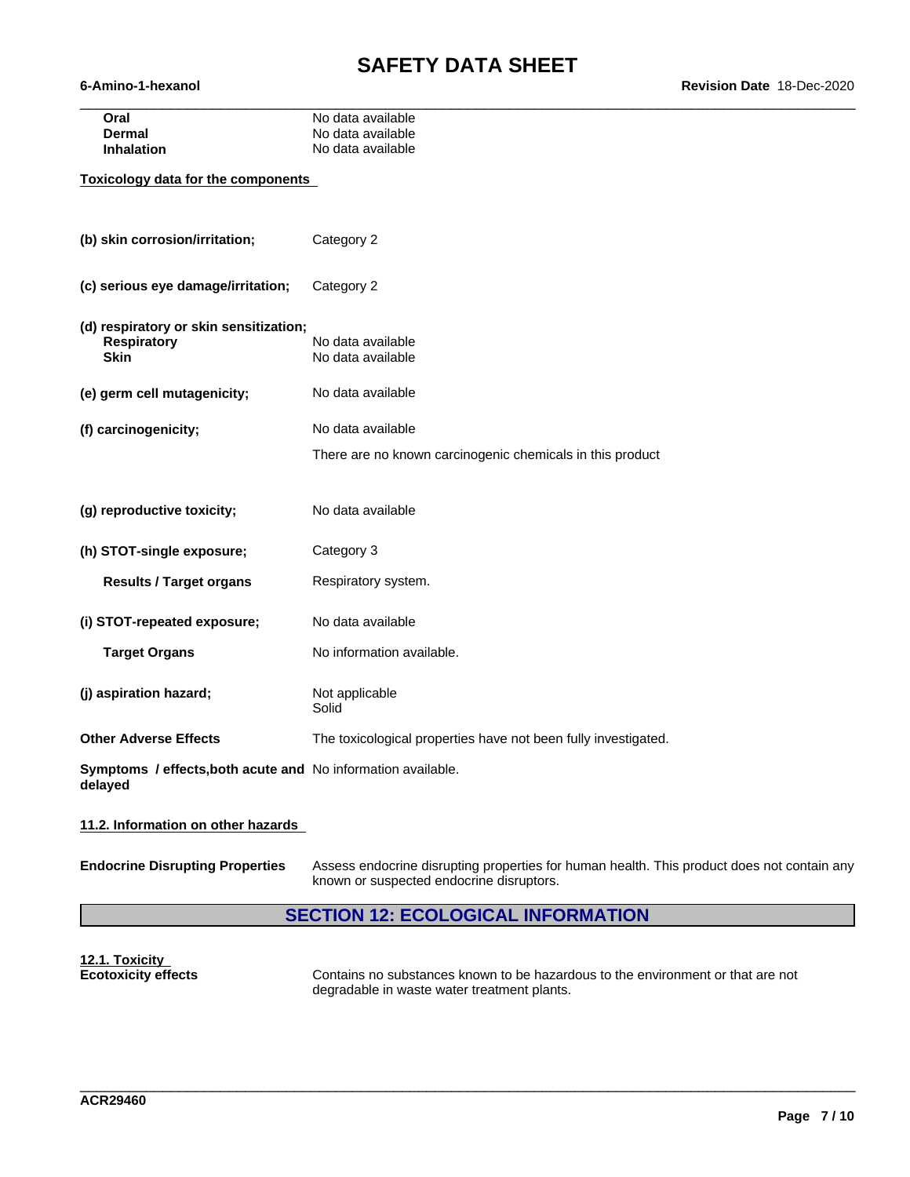| Oral                                      | No data available                                         |  |  |  |  |  |  |
|-------------------------------------------|-----------------------------------------------------------|--|--|--|--|--|--|
| <b>Dermal</b>                             | No data available                                         |  |  |  |  |  |  |
| <b>Inhalation</b>                         | No data available                                         |  |  |  |  |  |  |
| <b>Toxicology data for the components</b> |                                                           |  |  |  |  |  |  |
| (b) skin corrosion/irritation;            | Category 2                                                |  |  |  |  |  |  |
| (c) serious eye damage/irritation;        | Category 2                                                |  |  |  |  |  |  |
| (d) respiratory or skin sensitization;    |                                                           |  |  |  |  |  |  |
| <b>Respiratory</b>                        | No data available                                         |  |  |  |  |  |  |
| Skin                                      | No data available                                         |  |  |  |  |  |  |
| (e) germ cell mutagenicity;               | No data available                                         |  |  |  |  |  |  |
| (f) carcinogenicity;                      | No data available                                         |  |  |  |  |  |  |
|                                           | There are no known carcinogenic chemicals in this product |  |  |  |  |  |  |
|                                           |                                                           |  |  |  |  |  |  |
|                                           |                                                           |  |  |  |  |  |  |
| (g) reproductive toxicity;                | No data available                                         |  |  |  |  |  |  |
|                                           |                                                           |  |  |  |  |  |  |

**(h) STOT-single exposure;** Category 3

**Results / Target organs** Respiratory system.

**(i) STOT-repeated exposure;** No data available

**Target Organs** No information available.

**(j)** aspiration hazard; Not applicable Solid **Other Adverse Effects** The toxicological properties have not been fully investigated.

**Symptoms / effects,both acute and** No information available. **delayed**

**11.2. Information on other hazards**

**Endocrine Disrupting Properties** Assess endocrine disrupting properties for human health. This product does not contain any known or suspected endocrine disruptors.

## **SECTION 12: ECOLOGICAL INFORMATION**

**12.1. Toxicity**

**Ecotoxicity effects** Contains no substances known to be hazardous to the environment or that are not degradable in waste water treatment plants.

\_\_\_\_\_\_\_\_\_\_\_\_\_\_\_\_\_\_\_\_\_\_\_\_\_\_\_\_\_\_\_\_\_\_\_\_\_\_\_\_\_\_\_\_\_\_\_\_\_\_\_\_\_\_\_\_\_\_\_\_\_\_\_\_\_\_\_\_\_\_\_\_\_\_\_\_\_\_\_\_\_\_\_\_\_\_\_\_\_\_\_\_\_\_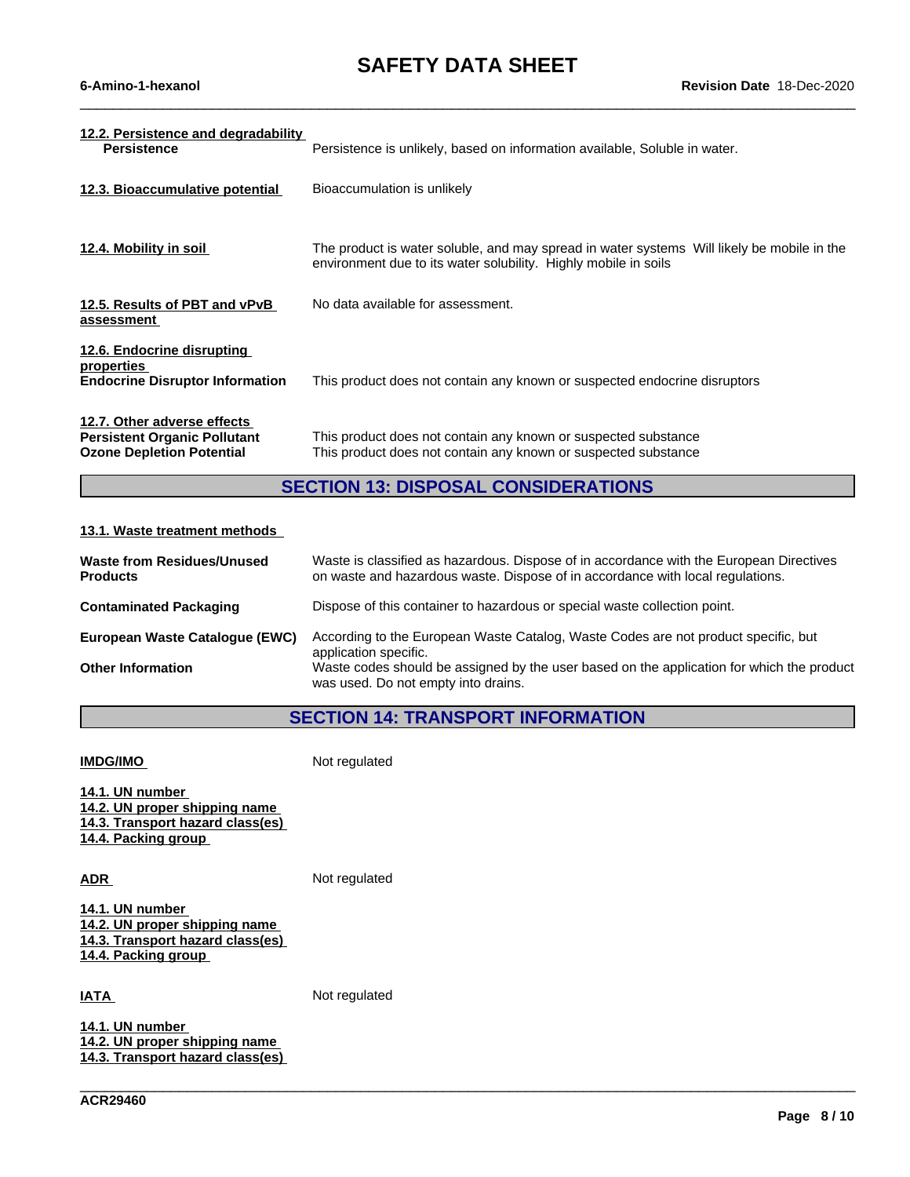$\_$  ,  $\_$  ,  $\_$  ,  $\_$  ,  $\_$  ,  $\_$  ,  $\_$  ,  $\_$  ,  $\_$  ,  $\_$  ,  $\_$  ,  $\_$  ,  $\_$  ,  $\_$  ,  $\_$  ,  $\_$  ,  $\_$  ,  $\_$  ,  $\_$  ,  $\_$  ,  $\_$  ,  $\_$  ,  $\_$  ,  $\_$  ,  $\_$  ,  $\_$  ,  $\_$  ,  $\_$  ,  $\_$  ,  $\_$  ,  $\_$  ,  $\_$  ,  $\_$  ,  $\_$  ,  $\_$  ,  $\_$  ,  $\_$  ,

| 12.2. Persistence and degradability<br><b>Persistence</b>                                              | Persistence is unlikely, based on information available, Soluble in water.                                                                                    |
|--------------------------------------------------------------------------------------------------------|---------------------------------------------------------------------------------------------------------------------------------------------------------------|
| 12.3. Bioaccumulative potential                                                                        | Bioaccumulation is unlikely                                                                                                                                   |
| 12.4. Mobility in soil                                                                                 | The product is water soluble, and may spread in water systems Will likely be mobile in the<br>environment due to its water solubility. Highly mobile in soils |
| 12.5. Results of PBT and vPvB<br>assessment                                                            | No data available for assessment.                                                                                                                             |
| 12.6. Endocrine disrupting<br>properties<br><b>Endocrine Disruptor Information</b>                     | This product does not contain any known or suspected endocrine disruptors                                                                                     |
| 12.7. Other adverse effects<br><b>Persistent Organic Pollutant</b><br><b>Ozone Depletion Potential</b> | This product does not contain any known or suspected substance<br>This product does not contain any known or suspected substance                              |

# **SECTION 13: DISPOSAL CONSIDERATIONS**

### **13.1. Waste treatment methods**

| Waste from Residues/Unused<br><b>Products</b> | Waste is classified as hazardous. Dispose of in accordance with the European Directives<br>on waste and hazardous waste. Dispose of in accordance with local regulations. |
|-----------------------------------------------|---------------------------------------------------------------------------------------------------------------------------------------------------------------------------|
| <b>Contaminated Packaging</b>                 | Dispose of this container to hazardous or special waste collection point.                                                                                                 |
| European Waste Catalogue (EWC)                | According to the European Waste Catalog, Waste Codes are not product specific, but<br>application specific.                                                               |
| <b>Other Information</b>                      | Waste codes should be assigned by the user based on the application for which the product<br>was used. Do not empty into drains.                                          |

### **SECTION 14: TRANSPORT INFORMATION**

\_\_\_\_\_\_\_\_\_\_\_\_\_\_\_\_\_\_\_\_\_\_\_\_\_\_\_\_\_\_\_\_\_\_\_\_\_\_\_\_\_\_\_\_\_\_\_\_\_\_\_\_\_\_\_\_\_\_\_\_\_\_\_\_\_\_\_\_\_\_\_\_\_\_\_\_\_\_\_\_\_\_\_\_\_\_\_\_\_\_\_\_\_\_

**IMDG/IMO** Not regulated

**14.1. UN number 14.2. UN proper shipping name 14.3. Transport hazard class(es) 14.4. Packing group**

ADR **ADR** Not regulated

**14.1. UN number 14.2. UN proper shipping name 14.3. Transport hazard class(es) 14.4. Packing group**

**IATA** Not regulated

**14.1. UN number 14.2. UN proper shipping name 14.3. Transport hazard class(es)**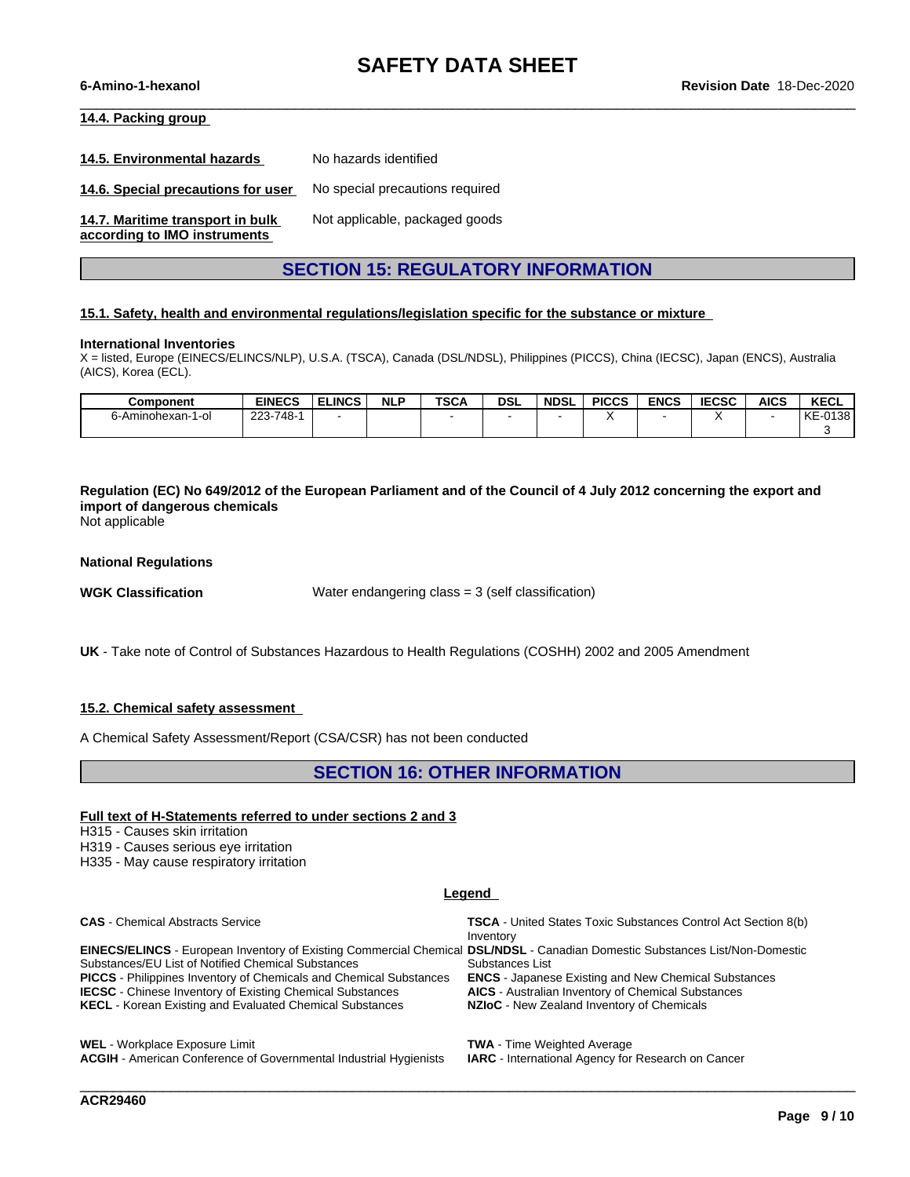$\_$  ,  $\_$  ,  $\_$  ,  $\_$  ,  $\_$  ,  $\_$  ,  $\_$  ,  $\_$  ,  $\_$  ,  $\_$  ,  $\_$  ,  $\_$  ,  $\_$  ,  $\_$  ,  $\_$  ,  $\_$  ,  $\_$  ,  $\_$  ,  $\_$  ,  $\_$  ,  $\_$  ,  $\_$  ,  $\_$  ,  $\_$  ,  $\_$  ,  $\_$  ,  $\_$  ,  $\_$  ,  $\_$  ,  $\_$  ,  $\_$  ,  $\_$  ,  $\_$  ,  $\_$  ,  $\_$  ,  $\_$  ,  $\_$  ,

#### **14.4. Packing group**

**14.5. Environmental hazards** No hazards identified

**14.6. Special precautions for user** No special precautions required

**14.7. Maritime transport in bulk according to IMO instruments**

Not applicable, packaged goods

### **SECTION 15: REGULATORY INFORMATION**

#### **15.1. Safety, health and environmental regulations/legislation specific for the substance or mixture**

#### **International Inventories**

X = listed, Europe (EINECS/ELINCS/NLP), U.S.A. (TSCA), Canada (DSL/NDSL), Philippines (PICCS), China (IECSC), Japan (ENCS), Australia (AICS), Korea (ECL).

| Component              | <b>EINECS</b> | <b>ELINCS</b> | <b>NLP</b> | <b>TSCA</b> | <b>DSL</b> | <b>NDSL</b> | <b>PICCS</b> | <b>ENCS</b> | <b>IECSC</b> | <b>AICS</b> | <b>KECL</b>                 |
|------------------------|---------------|---------------|------------|-------------|------------|-------------|--------------|-------------|--------------|-------------|-----------------------------|
| 6-Aminohexan-1<br>1-oi | 223-748-      |               |            |             |            |             |              |             |              |             | $-0138$<br>L/F<br><b>NE</b> |
|                        |               |               |            |             |            |             |              |             |              |             |                             |

Regulation (EC) No 649/2012 of the European Parliament and of the Council of 4 July 2012 concerning the export and **import of dangerous chemicals**

Not applicable

**National Regulations**

**WGK Classification** Water endangering class = 3 (self classification)

**UK** - Take note of Control of Substances Hazardous to Health Regulations (COSHH) 2002 and 2005 Amendment

#### **15.2. Chemical safety assessment**

A Chemical Safety Assessment/Report (CSA/CSR) has not been conducted

### **SECTION 16: OTHER INFORMATION**

#### **Full text of H-Statements referred to undersections 2 and 3**

H315 - Causes skin irritation

H319 - Causes serious eye irritation

H335 - May cause respiratory irritation

#### **Legend**

**CAS** - Chemical Abstracts Service **TSCA** - United States Toxic Substances Control Act Section 8(b)

**EINECS/ELINCS** - European Inventory of Existing Commercial Chemical **DSL/NDSL** - Canadian Domestic Substances List/Non-Domestic Substances/EU List of Notified Chemical Substances **PICCS** - Philippines Inventory of Chemicals and Chemical Substances **ENCS** - Japanese Existing and New Chemical Substances **IECSC** - Chinese Inventory of Existing Chemical Substances **AICS** - Australian Inventory of Chemical Substances<br>**KECL** - Korean Existing and Evaluated Chemical Substances **NZIoC** - New Zealand Inventory of Chemicals **KECL** - Korean Existing and Evaluated Chemical Substances

Inventory Substances List

**WEL** - Workplace Exposure Limit **TWA** - Time Weighted Average **ACGIH** - American Conference of Governmental Industrial Hygienists **IARC** - International Agency for Research on Cancer

\_\_\_\_\_\_\_\_\_\_\_\_\_\_\_\_\_\_\_\_\_\_\_\_\_\_\_\_\_\_\_\_\_\_\_\_\_\_\_\_\_\_\_\_\_\_\_\_\_\_\_\_\_\_\_\_\_\_\_\_\_\_\_\_\_\_\_\_\_\_\_\_\_\_\_\_\_\_\_\_\_\_\_\_\_\_\_\_\_\_\_\_\_\_